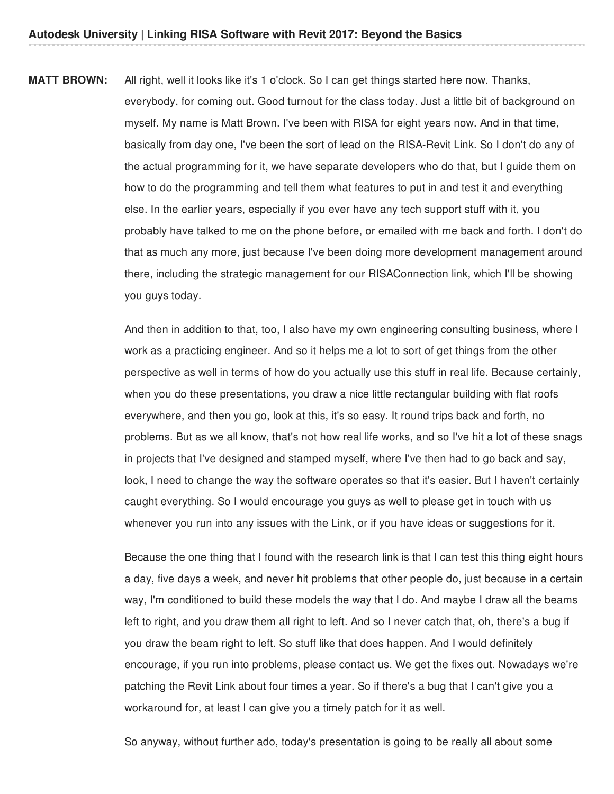**MATT BROWN:** All right, well it looks like it's 1 o'clock. So I can get things started here now. Thanks, everybody, for coming out. Good turnout for the class today. Just a little bit of background on myself. My name is Matt Brown. I've been with RISA for eight years now. And in that time, basically from day one, I've been the sort of lead on the RISA-Revit Link. So I don't do any of the actual programming for it, we have separate developers who do that, but I guide them on how to do the programming and tell them what features to put in and test it and everything else. In the earlier years, especially if you ever have any tech support stuff with it, you probably have talked to me on the phone before, or emailed with me back and forth. I don't do that as much any more, just because I've been doing more development management around there, including the strategic management for our RISAConnection link, which I'll be showing you guys today.

> And then in addition to that, too, I also have my own engineering consulting business, where I work as a practicing engineer. And so it helps me a lot to sort of get things from the other perspective as well in terms of how do you actually use this stuff in real life. Because certainly, when you do these presentations, you draw a nice little rectangular building with flat roofs everywhere, and then you go, look at this, it's so easy. It round trips back and forth, no problems. But as we all know, that's not how real life works, and so I've hit a lot of these snags in projects that I've designed and stamped myself, where I've then had to go back and say, look, I need to change the way the software operates so that it's easier. But I haven't certainly caught everything. So I would encourage you guys as well to please get in touch with us whenever you run into any issues with the Link, or if you have ideas or suggestions for it.

> Because the one thing that I found with the research link is that I can test this thing eight hours a day, five days a week, and never hit problems that other people do, just because in a certain way, I'm conditioned to build these models the way that I do. And maybe I draw all the beams left to right, and you draw them all right to left. And so I never catch that, oh, there's a bug if you draw the beam right to left. So stuff like that does happen. And I would definitely encourage, if you run into problems, please contact us. We get the fixes out. Nowadays we're patching the Revit Link about four times a year. So if there's a bug that I can't give you a workaround for, at least I can give you a timely patch for it as well.

So anyway, without further ado, today's presentation is going to be really all about some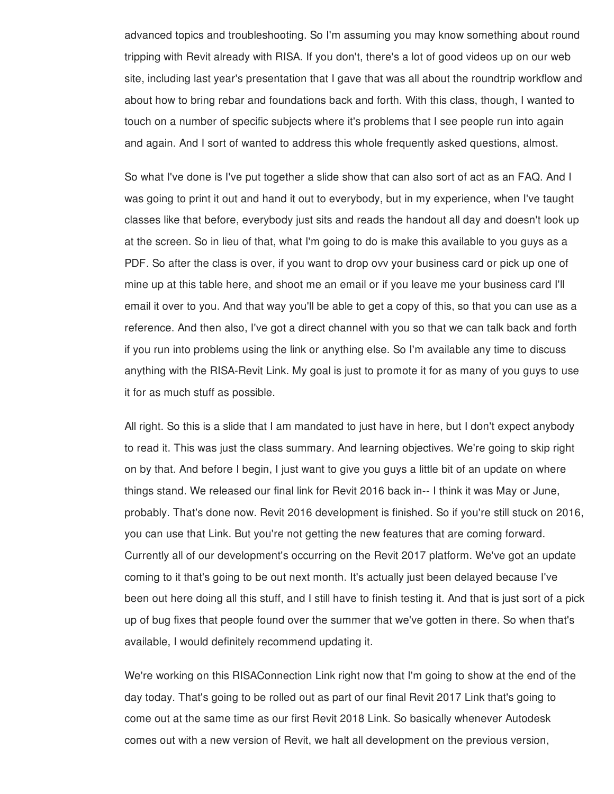advanced topics and troubleshooting. So I'm assuming you may know something about round tripping with Revit already with RISA. If you don't, there's a lot of good videos up on our web site, including last year's presentation that I gave that was all about the roundtrip workflow and about how to bring rebar and foundations back and forth. With this class, though, I wanted to touch on a number of specific subjects where it's problems that I see people run into again and again. And I sort of wanted to address this whole frequently asked questions, almost.

So what I've done is I've put together a slide show that can also sort of act as an FAQ. And I was going to print it out and hand it out to everybody, but in my experience, when I've taught classes like that before, everybody just sits and reads the handout all day and doesn't look up at the screen. So in lieu of that, what I'm going to do is make this available to you guys as a PDF. So after the class is over, if you want to drop ovv your business card or pick up one of mine up at this table here, and shoot me an email or if you leave me your business card I'll email it over to you. And that way you'll be able to get a copy of this, so that you can use as a reference. And then also, I've got a direct channel with you so that we can talk back and forth if you run into problems using the link or anything else. So I'm available any time to discuss anything with the RISA-Revit Link. My goal is just to promote it for as many of you guys to use it for as much stuff as possible.

All right. So this is a slide that I am mandated to just have in here, but I don't expect anybody to read it. This was just the class summary. And learning objectives. We're going to skip right on by that. And before I begin, I just want to give you guys a little bit of an update on where things stand. We released our final link for Revit 2016 back in-- I think it was May or June, probably. That's done now. Revit 2016 development is finished. So if you're still stuck on 2016, you can use that Link. But you're not getting the new features that are coming forward. Currently all of our development's occurring on the Revit 2017 platform. We've got an update coming to it that's going to be out next month. It's actually just been delayed because I've been out here doing all this stuff, and I still have to finish testing it. And that is just sort of a pick up of bug fixes that people found over the summer that we've gotten in there. So when that's available, I would definitely recommend updating it.

We're working on this RISAConnection Link right now that I'm going to show at the end of the day today. That's going to be rolled out as part of our final Revit 2017 Link that's going to come out at the same time as our first Revit 2018 Link. So basically whenever Autodesk comes out with a new version of Revit, we halt all development on the previous version,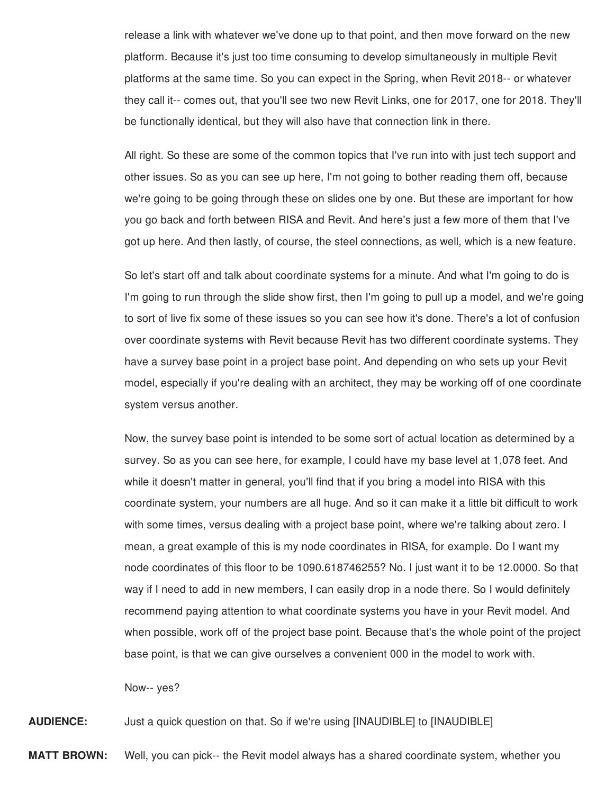release a link with whatever we've done up to that point, and then move forward on the new platform. Because it's just too time consuming to develop simultaneously in multiple Revit platforms at the same time. So you can expect in the Spring, when Revit 2018-- or whatever they call it-- comes out, that you'll see two new Revit Links, one for 2017, one for 2018. They'll be functionally identical, but they will also have that connection link in there.

All right. So these are some of the common topics that I've run into with just tech support and other issues. So as you can see up here, I'm not going to bother reading them off, because we're going to be going through these on slides one by one. But these are important for how you go back and forth between RISA and Revit. And here's just a few more of them that I've got up here. And then lastly, of course, the steel connections, as well, which is a new feature.

So let's start off and talk about coordinate systems for a minute. And what I'm going to do is I'm going to run through the slide show first, then I'm going to pull up a model, and we're going to sort of live fix some of these issues so you can see how it's done. There's a lot of confusion over coordinate systems with Revit because Revit has two different coordinate systems. They have a survey base point in a project base point. And depending on who sets up your Revit model, especially if you're dealing with an architect, they may be working off of one coordinate system versus another.

Now, the survey base point is intended to be some sort of actual location as determined by a survey. So as you can see here, for example, I could have my base level at 1,078 feet. And while it doesn't matter in general, you'll find that if you bring a model into RISA with this coordinate system, your numbers are all huge. And so it can make it a little bit difficult to work with some times, versus dealing with a project base point, where we're talking about zero. I mean, a great example of this is my node coordinates in RISA, for example. Do I want my node coordinates of this floor to be 1090.618746255? No. I just want it to be 12.0000. So that way if I need to add in new members, I can easily drop in a node there. So I would definitely recommend paying attention to what coordinate systems you have in your Revit model. And when possible, work off of the project base point. Because that's the whole point of the project base point, is that we can give ourselves a convenient 000 in the model to work with.

Now-- yes?

**AUDIENCE:** Just a quick question on that. So if we're using [INAUDIBLE] to [INAUDIBLE]

**MATT BROWN:** Well, you can pick-- the Revit model always has a shared coordinate system, whether you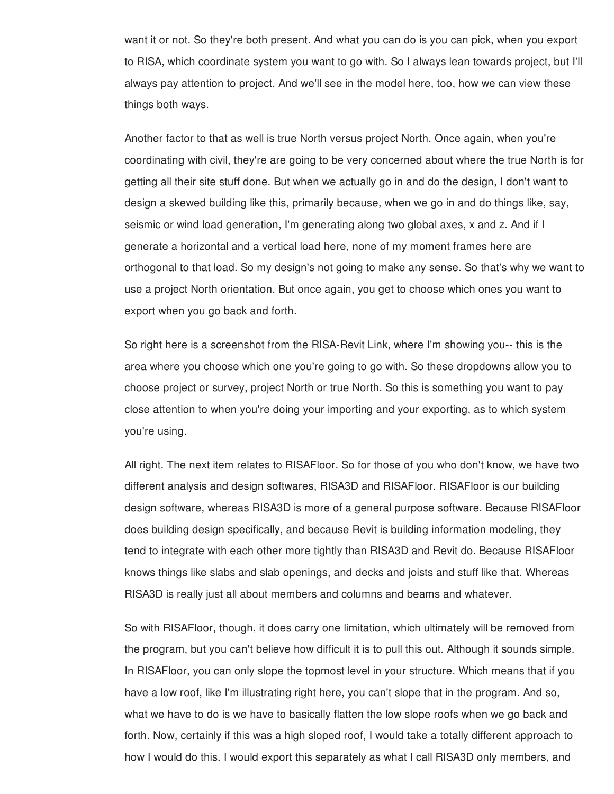want it or not. So they're both present. And what you can do is you can pick, when you export to RISA, which coordinate system you want to go with. So I always lean towards project, but I'll always pay attention to project. And we'll see in the model here, too, how we can view these things both ways.

Another factor to that as well is true North versus project North. Once again, when you're coordinating with civil, they're are going to be very concerned about where the true North is for getting all their site stuff done. But when we actually go in and do the design, I don't want to design a skewed building like this, primarily because, when we go in and do things like, say, seismic or wind load generation, I'm generating along two global axes, x and z. And if I generate a horizontal and a vertical load here, none of my moment frames here are orthogonal to that load. So my design's not going to make any sense. So that's why we want to use a project North orientation. But once again, you get to choose which ones you want to export when you go back and forth.

So right here is a screenshot from the RISA-Revit Link, where I'm showing you-- this is the area where you choose which one you're going to go with. So these dropdowns allow you to choose project or survey, project North or true North. So this is something you want to pay close attention to when you're doing your importing and your exporting, as to which system you're using.

All right. The next item relates to RISAFloor. So for those of you who don't know, we have two different analysis and design softwares, RISA3D and RISAFloor. RISAFloor is our building design software, whereas RISA3D is more of a general purpose software. Because RISAFloor does building design specifically, and because Revit is building information modeling, they tend to integrate with each other more tightly than RISA3D and Revit do. Because RISAFloor knows things like slabs and slab openings, and decks and joists and stuff like that. Whereas RISA3D is really just all about members and columns and beams and whatever.

So with RISAFloor, though, it does carry one limitation, which ultimately will be removed from the program, but you can't believe how difficult it is to pull this out. Although it sounds simple. In RISAFloor, you can only slope the topmost level in your structure. Which means that if you have a low roof, like I'm illustrating right here, you can't slope that in the program. And so, what we have to do is we have to basically flatten the low slope roofs when we go back and forth. Now, certainly if this was a high sloped roof, I would take a totally different approach to how I would do this. I would export this separately as what I call RISA3D only members, and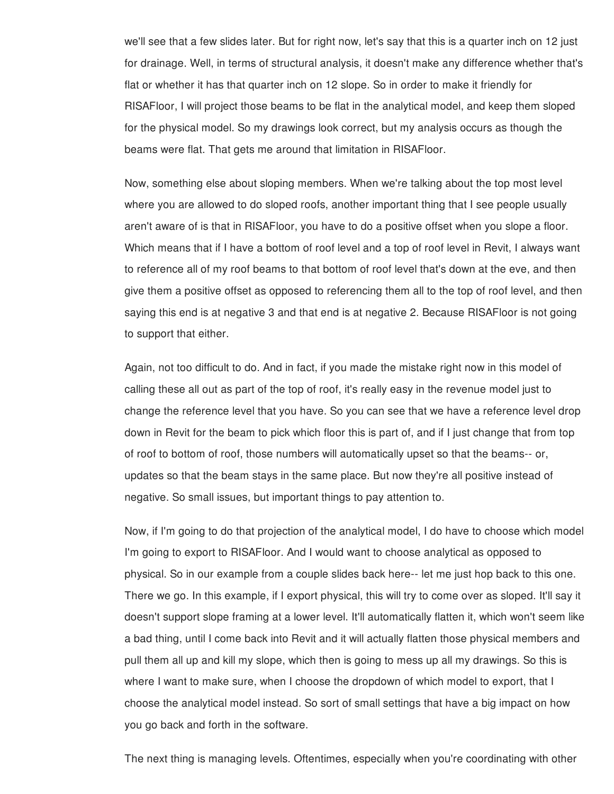we'll see that a few slides later. But for right now, let's say that this is a quarter inch on 12 just for drainage. Well, in terms of structural analysis, it doesn't make any difference whether that's flat or whether it has that quarter inch on 12 slope. So in order to make it friendly for RISAFloor, I will project those beams to be flat in the analytical model, and keep them sloped for the physical model. So my drawings look correct, but my analysis occurs as though the beams were flat. That gets me around that limitation in RISAFloor.

Now, something else about sloping members. When we're talking about the top most level where you are allowed to do sloped roofs, another important thing that I see people usually aren't aware of is that in RISAFloor, you have to do a positive offset when you slope a floor. Which means that if I have a bottom of roof level and a top of roof level in Revit, I always want to reference all of my roof beams to that bottom of roof level that's down at the eve, and then give them a positive offset as opposed to referencing them all to the top of roof level, and then saying this end is at negative 3 and that end is at negative 2. Because RISAFloor is not going to support that either.

Again, not too difficult to do. And in fact, if you made the mistake right now in this model of calling these all out as part of the top of roof, it's really easy in the revenue model just to change the reference level that you have. So you can see that we have a reference level drop down in Revit for the beam to pick which floor this is part of, and if I just change that from top of roof to bottom of roof, those numbers will automatically upset so that the beams-- or, updates so that the beam stays in the same place. But now they're all positive instead of negative. So small issues, but important things to pay attention to.

Now, if I'm going to do that projection of the analytical model, I do have to choose which model I'm going to export to RISAFloor. And I would want to choose analytical as opposed to physical. So in our example from a couple slides back here-- let me just hop back to this one. There we go. In this example, if I export physical, this will try to come over as sloped. It'll say it doesn't support slope framing at a lower level. It'll automatically flatten it, which won't seem like a bad thing, until I come back into Revit and it will actually flatten those physical members and pull them all up and kill my slope, which then is going to mess up all my drawings. So this is where I want to make sure, when I choose the dropdown of which model to export, that I choose the analytical model instead. So sort of small settings that have a big impact on how you go back and forth in the software.

The next thing is managing levels. Oftentimes, especially when you're coordinating with other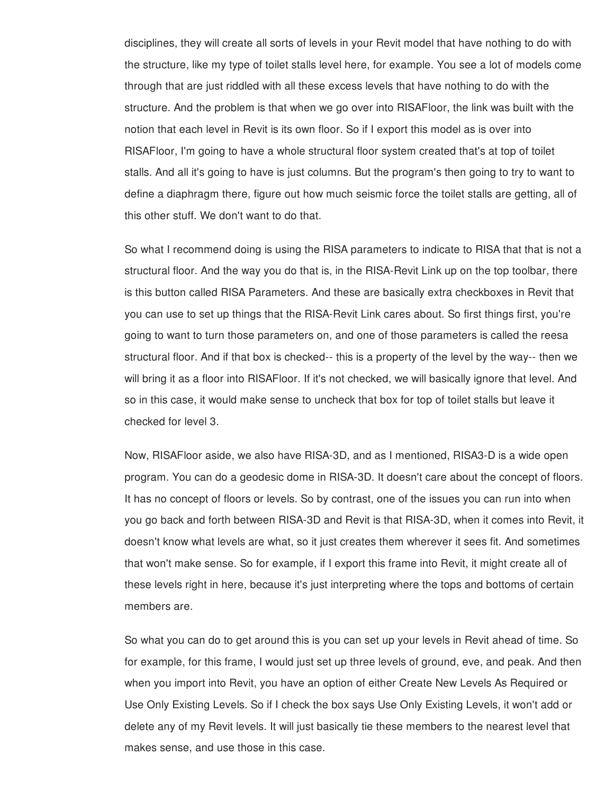disciplines, they will create all sorts of levels in your Revit model that have nothing to do with the structure, like my type of toilet stalls level here, for example. You see a lot of models come through that are just riddled with all these excess levels that have nothing to do with the structure. And the problem is that when we go over into RISAFloor, the link was built with the notion that each level in Revit is its own floor. So if I export this model as is over into RISAFloor, I'm going to have a whole structural floor system created that's at top of toilet stalls. And all it's going to have is just columns. But the program's then going to try to want to define a diaphragm there, figure out how much seismic force the toilet stalls are getting, all of this other stuff. We don't want to do that.

So what I recommend doing is using the RISA parameters to indicate to RISA that that is not a structural floor. And the way you do that is, in the RISA-Revit Link up on the top toolbar, there is this button called RISA Parameters. And these are basically extra checkboxes in Revit that you can use to set up things that the RISA-Revit Link cares about. So first things first, you're going to want to turn those parameters on, and one of those parameters is called the reesa structural floor. And if that box is checked-- this is a property of the level by the way-- then we will bring it as a floor into RISAFloor. If it's not checked, we will basically ignore that level. And so in this case, it would make sense to uncheck that box for top of toilet stalls but leave it checked for level 3.

Now, RISAFloor aside, we also have RISA-3D, and as I mentioned, RISA3-D is a wide open program. You can do a geodesic dome in RISA-3D. It doesn't care about the concept of floors. It has no concept of floors or levels. So by contrast, one of the issues you can run into when you go back and forth between RISA-3D and Revit is that RISA-3D, when it comes into Revit, it doesn't know what levels are what, so it just creates them wherever it sees fit. And sometimes that won't make sense. So for example, if I export this frame into Revit, it might create all of these levels right in here, because it's just interpreting where the tops and bottoms of certain members are.

So what you can do to get around this is you can set up your levels in Revit ahead of time. So for example, for this frame, I would just set up three levels of ground, eve, and peak. And then when you import into Revit, you have an option of either Create New Levels As Required or Use Only Existing Levels. So if I check the box says Use Only Existing Levels, it won't add or delete any of my Revit levels. It will just basically tie these members to the nearest level that makes sense, and use those in this case.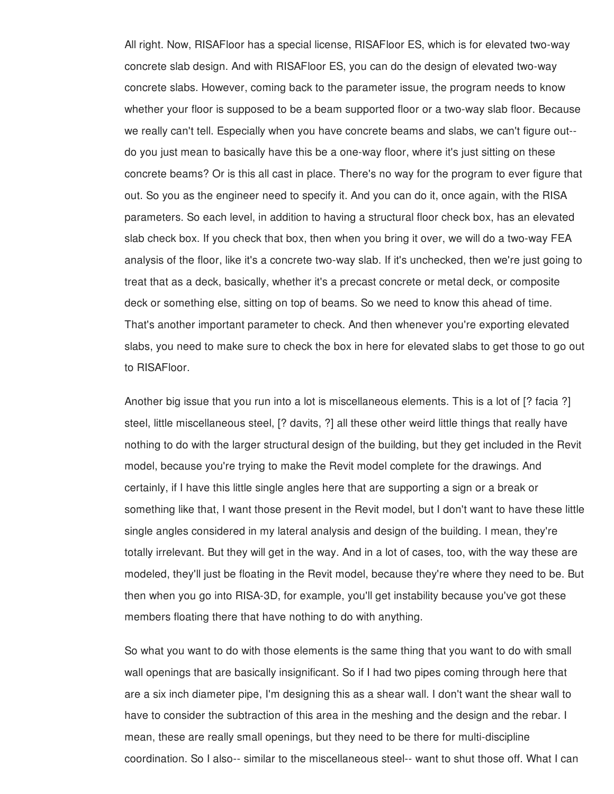All right. Now, RISAFloor has a special license, RISAFloor ES, which is for elevated two-way concrete slab design. And with RISAFloor ES, you can do the design of elevated two-way concrete slabs. However, coming back to the parameter issue, the program needs to know whether your floor is supposed to be a beam supported floor or a two-way slab floor. Because we really can't tell. Especially when you have concrete beams and slabs, we can't figure out- do you just mean to basically have this be a one-way floor, where it's just sitting on these concrete beams? Or is this all cast in place. There's no way for the program to ever figure that out. So you as the engineer need to specify it. And you can do it, once again, with the RISA parameters. So each level, in addition to having a structural floor check box, has an elevated slab check box. If you check that box, then when you bring it over, we will do a two-way FEA analysis of the floor, like it's a concrete two-way slab. If it's unchecked, then we're just going to treat that as a deck, basically, whether it's a precast concrete or metal deck, or composite deck or something else, sitting on top of beams. So we need to know this ahead of time. That's another important parameter to check. And then whenever you're exporting elevated slabs, you need to make sure to check the box in here for elevated slabs to get those to go out to RISAFloor.

Another big issue that you run into a lot is miscellaneous elements. This is a lot of [? facia ?] steel, little miscellaneous steel, [? davits, ?] all these other weird little things that really have nothing to do with the larger structural design of the building, but they get included in the Revit model, because you're trying to make the Revit model complete for the drawings. And certainly, if I have this little single angles here that are supporting a sign or a break or something like that, I want those present in the Revit model, but I don't want to have these little single angles considered in my lateral analysis and design of the building. I mean, they're totally irrelevant. But they will get in the way. And in a lot of cases, too, with the way these are modeled, they'll just be floating in the Revit model, because they're where they need to be. But then when you go into RISA-3D, for example, you'll get instability because you've got these members floating there that have nothing to do with anything.

So what you want to do with those elements is the same thing that you want to do with small wall openings that are basically insignificant. So if I had two pipes coming through here that are a six inch diameter pipe, I'm designing this as a shear wall. I don't want the shear wall to have to consider the subtraction of this area in the meshing and the design and the rebar. I mean, these are really small openings, but they need to be there for multi-discipline coordination. So I also-- similar to the miscellaneous steel-- want to shut those off. What I can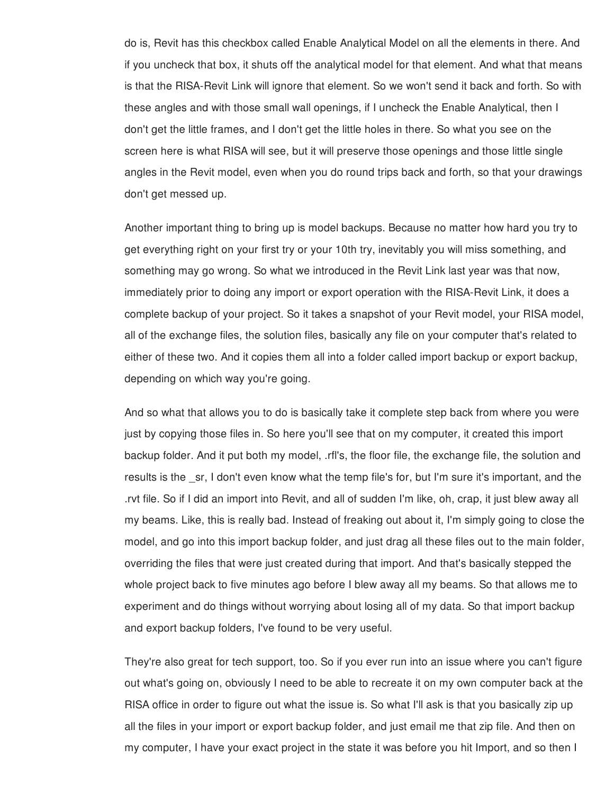do is, Revit has this checkbox called Enable Analytical Model on all the elements in there. And if you uncheck that box, it shuts off the analytical model for that element. And what that means is that the RISA-Revit Link will ignore that element. So we won't send it back and forth. So with these angles and with those small wall openings, if I uncheck the Enable Analytical, then I don't get the little frames, and I don't get the little holes in there. So what you see on the screen here is what RISA will see, but it will preserve those openings and those little single angles in the Revit model, even when you do round trips back and forth, so that your drawings don't get messed up.

Another important thing to bring up is model backups. Because no matter how hard you try to get everything right on your first try or your 10th try, inevitably you will miss something, and something may go wrong. So what we introduced in the Revit Link last year was that now, immediately prior to doing any import or export operation with the RISA-Revit Link, it does a complete backup of your project. So it takes a snapshot of your Revit model, your RISA model, all of the exchange files, the solution files, basically any file on your computer that's related to either of these two. And it copies them all into a folder called import backup or export backup, depending on which way you're going.

And so what that allows you to do is basically take it complete step back from where you were just by copying those files in. So here you'll see that on my computer, it created this import backup folder. And it put both my model, .rfl's, the floor file, the exchange file, the solution and results is the sr, I don't even know what the temp file's for, but I'm sure it's important, and the .rvt file. So if I did an import into Revit, and all of sudden I'm like, oh, crap, it just blew away all my beams. Like, this is really bad. Instead of freaking out about it, I'm simply going to close the model, and go into this import backup folder, and just drag all these files out to the main folder, overriding the files that were just created during that import. And that's basically stepped the whole project back to five minutes ago before I blew away all my beams. So that allows me to experiment and do things without worrying about losing all of my data. So that import backup and export backup folders, I've found to be very useful.

They're also great for tech support, too. So if you ever run into an issue where you can't figure out what's going on, obviously I need to be able to recreate it on my own computer back at the RISA office in order to figure out what the issue is. So what I'll ask is that you basically zip up all the files in your import or export backup folder, and just email me that zip file. And then on my computer, I have your exact project in the state it was before you hit Import, and so then I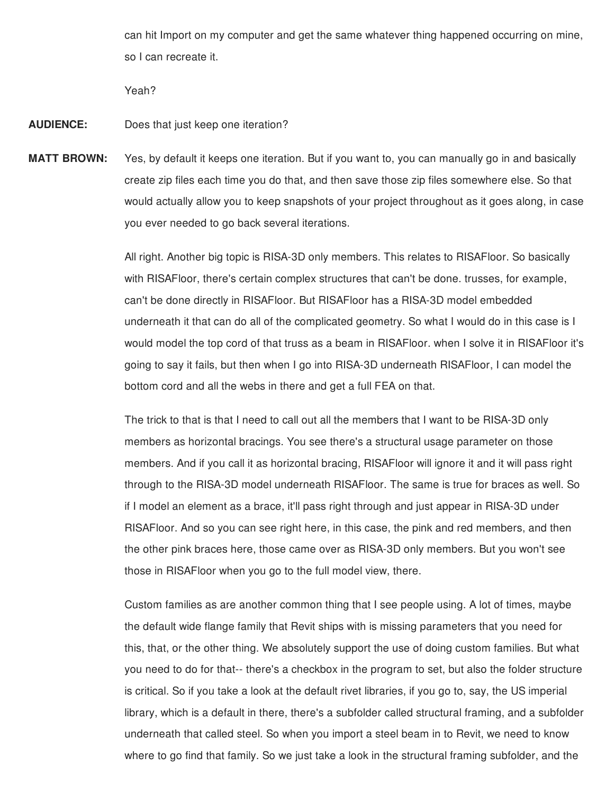can hit Import on my computer and get the same whatever thing happened occurring on mine, so I can recreate it.

Yeah?

- **AUDIENCE:** Does that just keep one iteration?
- **MATT BROWN:** Yes, by default it keeps one iteration. But if you want to, you can manually go in and basically create zip files each time you do that, and then save those zip files somewhere else. So that would actually allow you to keep snapshots of your project throughout as it goes along, in case you ever needed to go back several iterations.

All right. Another big topic is RISA-3D only members. This relates to RISAFloor. So basically with RISAFloor, there's certain complex structures that can't be done. trusses, for example, can't be done directly in RISAFloor. But RISAFloor has a RISA-3D model embedded underneath it that can do all of the complicated geometry. So what I would do in this case is I would model the top cord of that truss as a beam in RISAFloor. when I solve it in RISAFloor it's going to say it fails, but then when I go into RISA-3D underneath RISAFloor, I can model the bottom cord and all the webs in there and get a full FEA on that.

The trick to that is that I need to call out all the members that I want to be RISA-3D only members as horizontal bracings. You see there's a structural usage parameter on those members. And if you call it as horizontal bracing, RISAFloor will ignore it and it will pass right through to the RISA-3D model underneath RISAFloor. The same is true for braces as well. So if I model an element as a brace, it'll pass right through and just appear in RISA-3D under RISAFloor. And so you can see right here, in this case, the pink and red members, and then the other pink braces here, those came over as RISA-3D only members. But you won't see those in RISAFloor when you go to the full model view, there.

Custom families as are another common thing that I see people using. A lot of times, maybe the default wide flange family that Revit ships with is missing parameters that you need for this, that, or the other thing. We absolutely support the use of doing custom families. But what you need to do for that-- there's a checkbox in the program to set, but also the folder structure is critical. So if you take a look at the default rivet libraries, if you go to, say, the US imperial library, which is a default in there, there's a subfolder called structural framing, and a subfolder underneath that called steel. So when you import a steel beam in to Revit, we need to know where to go find that family. So we just take a look in the structural framing subfolder, and the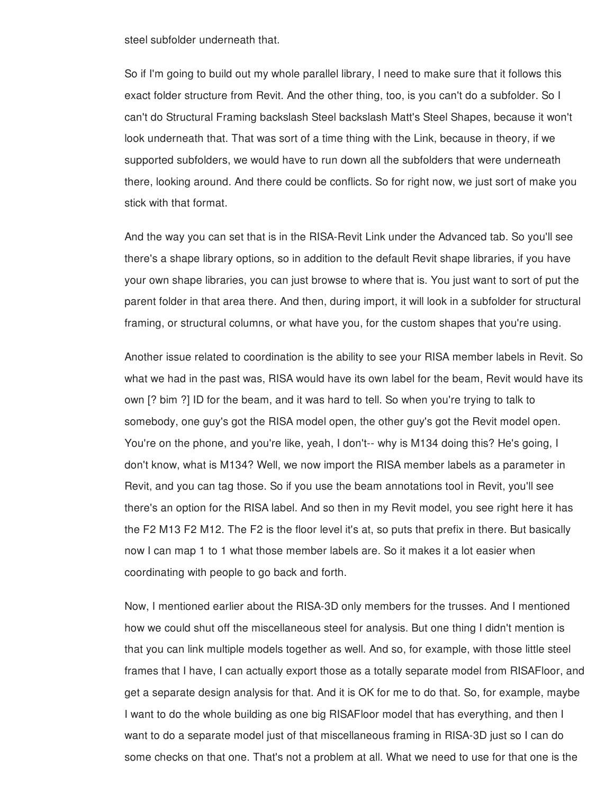steel subfolder underneath that.

So if I'm going to build out my whole parallel library, I need to make sure that it follows this exact folder structure from Revit. And the other thing, too, is you can't do a subfolder. So I can't do Structural Framing backslash Steel backslash Matt's Steel Shapes, because it won't look underneath that. That was sort of a time thing with the Link, because in theory, if we supported subfolders, we would have to run down all the subfolders that were underneath there, looking around. And there could be conflicts. So for right now, we just sort of make you stick with that format.

And the way you can set that is in the RISA-Revit Link under the Advanced tab. So you'll see there's a shape library options, so in addition to the default Revit shape libraries, if you have your own shape libraries, you can just browse to where that is. You just want to sort of put the parent folder in that area there. And then, during import, it will look in a subfolder for structural framing, or structural columns, or what have you, for the custom shapes that you're using.

Another issue related to coordination is the ability to see your RISA member labels in Revit. So what we had in the past was, RISA would have its own label for the beam, Revit would have its own [? bim ?] ID for the beam, and it was hard to tell. So when you're trying to talk to somebody, one guy's got the RISA model open, the other guy's got the Revit model open. You're on the phone, and you're like, yeah, I don't-- why is M134 doing this? He's going, I don't know, what is M134? Well, we now import the RISA member labels as a parameter in Revit, and you can tag those. So if you use the beam annotations tool in Revit, you'll see there's an option for the RISA label. And so then in my Revit model, you see right here it has the F2 M13 F2 M12. The F2 is the floor level it's at, so puts that prefix in there. But basically now I can map 1 to 1 what those member labels are. So it makes it a lot easier when coordinating with people to go back and forth.

Now, I mentioned earlier about the RISA-3D only members for the trusses. And I mentioned how we could shut off the miscellaneous steel for analysis. But one thing I didn't mention is that you can link multiple models together as well. And so, for example, with those little steel frames that I have, I can actually export those as a totally separate model from RISAFloor, and get a separate design analysis for that. And it is OK for me to do that. So, for example, maybe I want to do the whole building as one big RISAFloor model that has everything, and then I want to do a separate model just of that miscellaneous framing in RISA-3D just so I can do some checks on that one. That's not a problem at all. What we need to use for that one is the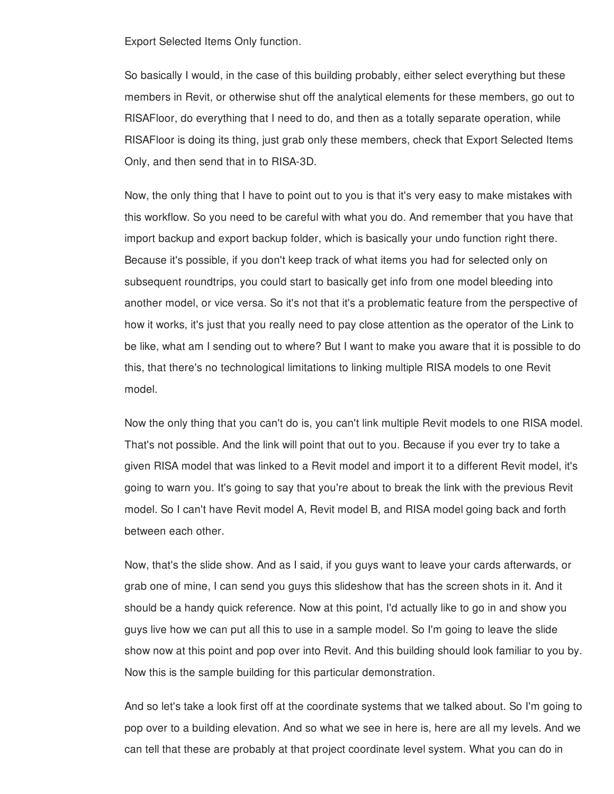Export Selected Items Only function.

So basically I would, in the case of this building probably, either select everything but these members in Revit, or otherwise shut off the analytical elements for these members, go out to RISAFloor, do everything that I need to do, and then as a totally separate operation, while RISAFloor is doing its thing, just grab only these members, check that Export Selected Items Only, and then send that in to RISA-3D.

Now, the only thing that I have to point out to you is that it's very easy to make mistakes with this workflow. So you need to be careful with what you do. And remember that you have that import backup and export backup folder, which is basically your undo function right there. Because it's possible, if you don't keep track of what items you had for selected only on subsequent roundtrips, you could start to basically get info from one model bleeding into another model, or vice versa. So it's not that it's a problematic feature from the perspective of how it works, it's just that you really need to pay close attention as the operator of the Link to be like, what am I sending out to where? But I want to make you aware that it is possible to do this, that there's no technological limitations to linking multiple RISA models to one Revit model.

Now the only thing that you can't do is, you can't link multiple Revit models to one RISA model. That's not possible. And the link will point that out to you. Because if you ever try to take a given RISA model that was linked to a Revit model and import it to a different Revit model, it's going to warn you. It's going to say that you're about to break the link with the previous Revit model. So I can't have Revit model A, Revit model B, and RISA model going back and forth between each other.

Now, that's the slide show. And as I said, if you guys want to leave your cards afterwards, or grab one of mine, I can send you guys this slideshow that has the screen shots in it. And it should be a handy quick reference. Now at this point, I'd actually like to go in and show you guys live how we can put all this to use in a sample model. So I'm going to leave the slide show now at this point and pop over into Revit. And this building should look familiar to you by. Now this is the sample building for this particular demonstration.

And so let's take a look first off at the coordinate systems that we talked about. So I'm going to pop over to a building elevation. And so what we see in here is, here are all my levels. And we can tell that these are probably at that project coordinate level system. What you can do in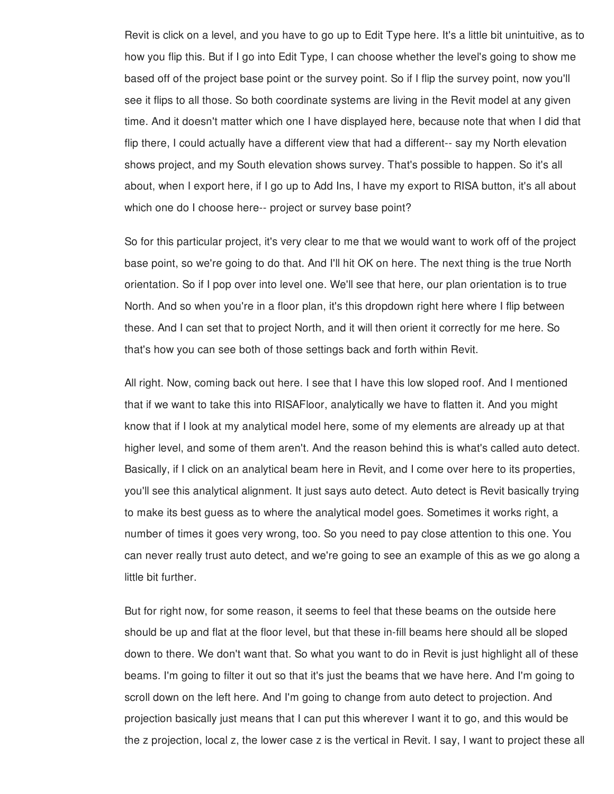Revit is click on a level, and you have to go up to Edit Type here. It's a little bit unintuitive, as to how you flip this. But if I go into Edit Type, I can choose whether the level's going to show me based off of the project base point or the survey point. So if I flip the survey point, now you'll see it flips to all those. So both coordinate systems are living in the Revit model at any given time. And it doesn't matter which one I have displayed here, because note that when I did that flip there, I could actually have a different view that had a different-- say my North elevation shows project, and my South elevation shows survey. That's possible to happen. So it's all about, when I export here, if I go up to Add Ins, I have my export to RISA button, it's all about which one do I choose here-- project or survey base point?

So for this particular project, it's very clear to me that we would want to work off of the project base point, so we're going to do that. And I'll hit OK on here. The next thing is the true North orientation. So if I pop over into level one. We'll see that here, our plan orientation is to true North. And so when you're in a floor plan, it's this dropdown right here where I flip between these. And I can set that to project North, and it will then orient it correctly for me here. So that's how you can see both of those settings back and forth within Revit.

All right. Now, coming back out here. I see that I have this low sloped roof. And I mentioned that if we want to take this into RISAFloor, analytically we have to flatten it. And you might know that if I look at my analytical model here, some of my elements are already up at that higher level, and some of them aren't. And the reason behind this is what's called auto detect. Basically, if I click on an analytical beam here in Revit, and I come over here to its properties, you'll see this analytical alignment. It just says auto detect. Auto detect is Revit basically trying to make its best guess as to where the analytical model goes. Sometimes it works right, a number of times it goes very wrong, too. So you need to pay close attention to this one. You can never really trust auto detect, and we're going to see an example of this as we go along a little bit further.

But for right now, for some reason, it seems to feel that these beams on the outside here should be up and flat at the floor level, but that these in-fill beams here should all be sloped down to there. We don't want that. So what you want to do in Revit is just highlight all of these beams. I'm going to filter it out so that it's just the beams that we have here. And I'm going to scroll down on the left here. And I'm going to change from auto detect to projection. And projection basically just means that I can put this wherever I want it to go, and this would be the z projection, local z, the lower case z is the vertical in Revit. I say, I want to project these all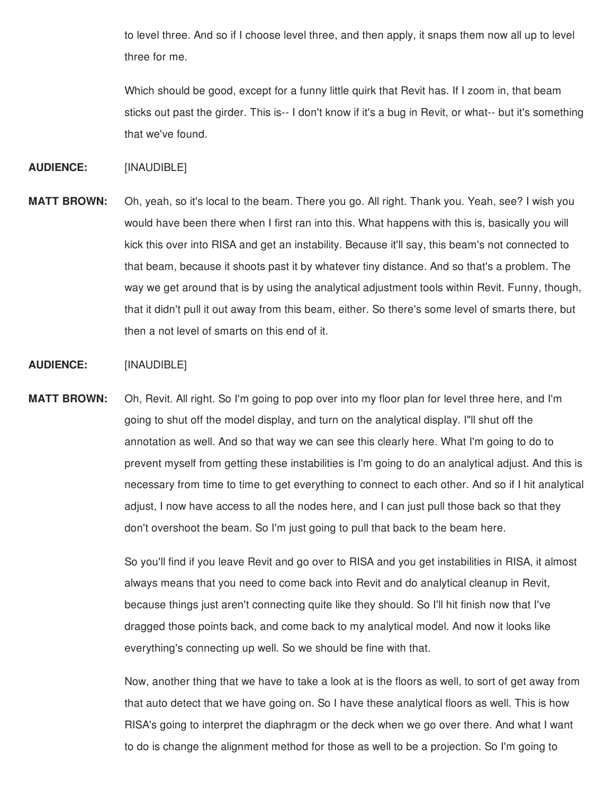to level three. And so if I choose level three, and then apply, it snaps them now all up to level three for me.

Which should be good, except for a funny little quirk that Revit has. If I zoom in, that beam sticks out past the girder. This is-- I don't know if it's a bug in Revit, or what-- but it's something that we've found.

### **AUDIENCE:** [INAUDIBLE]

**MATT BROWN:** Oh, yeah, so it's local to the beam. There you go. All right. Thank you. Yeah, see? I wish you would have been there when I first ran into this. What happens with this is, basically you will kick this over into RISA and get an instability. Because it'll say, this beam's not connected to that beam, because it shoots past it by whatever tiny distance. And so that's a problem. The way we get around that is by using the analytical adjustment tools within Revit. Funny, though, that it didn't pull it out away from this beam, either. So there's some level of smarts there, but then a not level of smarts on this end of it.

## **AUDIENCE:** [INAUDIBLE]

**MATT BROWN:** Oh, Revit. All right. So I'm going to pop over into my floor plan for level three here, and I'm going to shut off the model display, and turn on the analytical display. I"ll shut off the annotation as well. And so that way we can see this clearly here. What I'm going to do to prevent myself from getting these instabilities is I'm going to do an analytical adjust. And this is necessary from time to time to get everything to connect to each other. And so if I hit analytical adjust, I now have access to all the nodes here, and I can just pull those back so that they don't overshoot the beam. So I'm just going to pull that back to the beam here.

> So you'll find if you leave Revit and go over to RISA and you get instabilities in RISA, it almost always means that you need to come back into Revit and do analytical cleanup in Revit, because things just aren't connecting quite like they should. So I'll hit finish now that I've dragged those points back, and come back to my analytical model. And now it looks like everything's connecting up well. So we should be fine with that.

> Now, another thing that we have to take a look at is the floors as well, to sort of get away from that auto detect that we have going on. So I have these analytical floors as well. This is how RISA's going to interpret the diaphragm or the deck when we go over there. And what I want to do is change the alignment method for those as well to be a projection. So I'm going to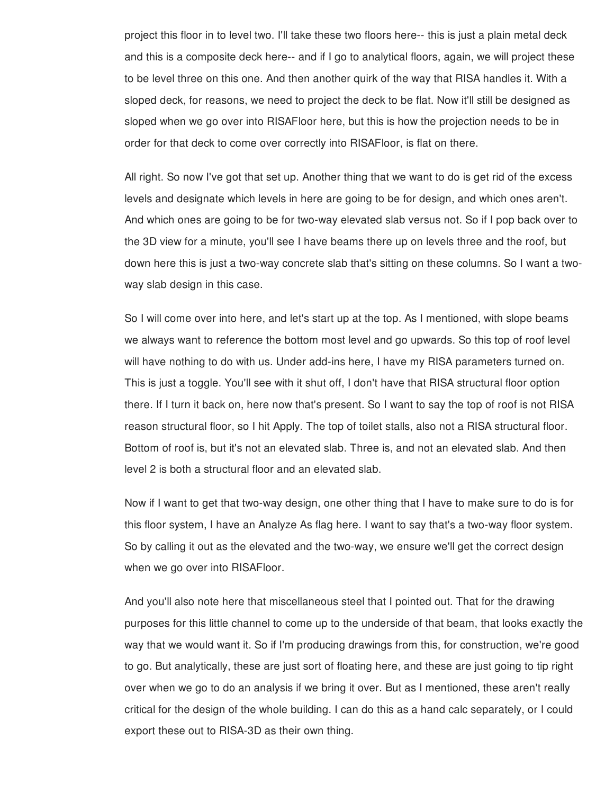project this floor in to level two. I'll take these two floors here-- this is just a plain metal deck and this is a composite deck here-- and if I go to analytical floors, again, we will project these to be level three on this one. And then another quirk of the way that RISA handles it. With a sloped deck, for reasons, we need to project the deck to be flat. Now it'll still be designed as sloped when we go over into RISAFloor here, but this is how the projection needs to be in order for that deck to come over correctly into RISAFloor, is flat on there.

All right. So now I've got that set up. Another thing that we want to do is get rid of the excess levels and designate which levels in here are going to be for design, and which ones aren't. And which ones are going to be for two-way elevated slab versus not. So if I pop back over to the 3D view for a minute, you'll see I have beams there up on levels three and the roof, but down here this is just a two-way concrete slab that's sitting on these columns. So I want a twoway slab design in this case.

So I will come over into here, and let's start up at the top. As I mentioned, with slope beams we always want to reference the bottom most level and go upwards. So this top of roof level will have nothing to do with us. Under add-ins here, I have my RISA parameters turned on. This is just a toggle. You'll see with it shut off, I don't have that RISA structural floor option there. If I turn it back on, here now that's present. So I want to say the top of roof is not RISA reason structural floor, so I hit Apply. The top of toilet stalls, also not a RISA structural floor. Bottom of roof is, but it's not an elevated slab. Three is, and not an elevated slab. And then level 2 is both a structural floor and an elevated slab.

Now if I want to get that two-way design, one other thing that I have to make sure to do is for this floor system, I have an Analyze As flag here. I want to say that's a two-way floor system. So by calling it out as the elevated and the two-way, we ensure we'll get the correct design when we go over into RISAFloor.

And you'll also note here that miscellaneous steel that I pointed out. That for the drawing purposes for this little channel to come up to the underside of that beam, that looks exactly the way that we would want it. So if I'm producing drawings from this, for construction, we're good to go. But analytically, these are just sort of floating here, and these are just going to tip right over when we go to do an analysis if we bring it over. But as I mentioned, these aren't really critical for the design of the whole building. I can do this as a hand calc separately, or I could export these out to RISA-3D as their own thing.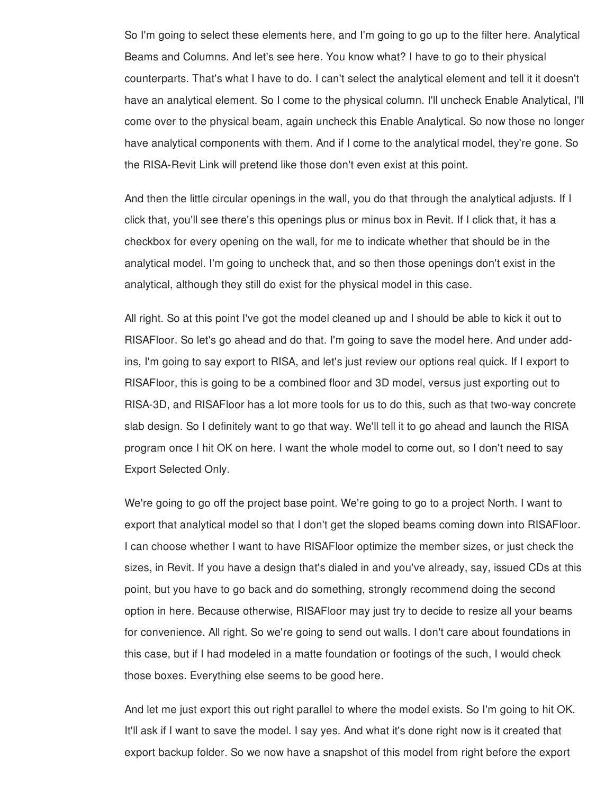So I'm going to select these elements here, and I'm going to go up to the filter here. Analytical Beams and Columns. And let's see here. You know what? I have to go to their physical counterparts. That's what I have to do. I can't select the analytical element and tell it it doesn't have an analytical element. So I come to the physical column. I'll uncheck Enable Analytical, I'll come over to the physical beam, again uncheck this Enable Analytical. So now those no longer have analytical components with them. And if I come to the analytical model, they're gone. So the RISA-Revit Link will pretend like those don't even exist at this point.

And then the little circular openings in the wall, you do that through the analytical adjusts. If I click that, you'll see there's this openings plus or minus box in Revit. If I click that, it has a checkbox for every opening on the wall, for me to indicate whether that should be in the analytical model. I'm going to uncheck that, and so then those openings don't exist in the analytical, although they still do exist for the physical model in this case.

All right. So at this point I've got the model cleaned up and I should be able to kick it out to RISAFloor. So let's go ahead and do that. I'm going to save the model here. And under addins, I'm going to say export to RISA, and let's just review our options real quick. If I export to RISAFloor, this is going to be a combined floor and 3D model, versus just exporting out to RISA-3D, and RISAFloor has a lot more tools for us to do this, such as that two-way concrete slab design. So I definitely want to go that way. We'll tell it to go ahead and launch the RISA program once I hit OK on here. I want the whole model to come out, so I don't need to say Export Selected Only.

We're going to go off the project base point. We're going to go to a project North. I want to export that analytical model so that I don't get the sloped beams coming down into RISAFloor. I can choose whether I want to have RISAFloor optimize the member sizes, or just check the sizes, in Revit. If you have a design that's dialed in and you've already, say, issued CDs at this point, but you have to go back and do something, strongly recommend doing the second option in here. Because otherwise, RISAFloor may just try to decide to resize all your beams for convenience. All right. So we're going to send out walls. I don't care about foundations in this case, but if I had modeled in a matte foundation or footings of the such, I would check those boxes. Everything else seems to be good here.

And let me just export this out right parallel to where the model exists. So I'm going to hit OK. It'll ask if I want to save the model. I say yes. And what it's done right now is it created that export backup folder. So we now have a snapshot of this model from right before the export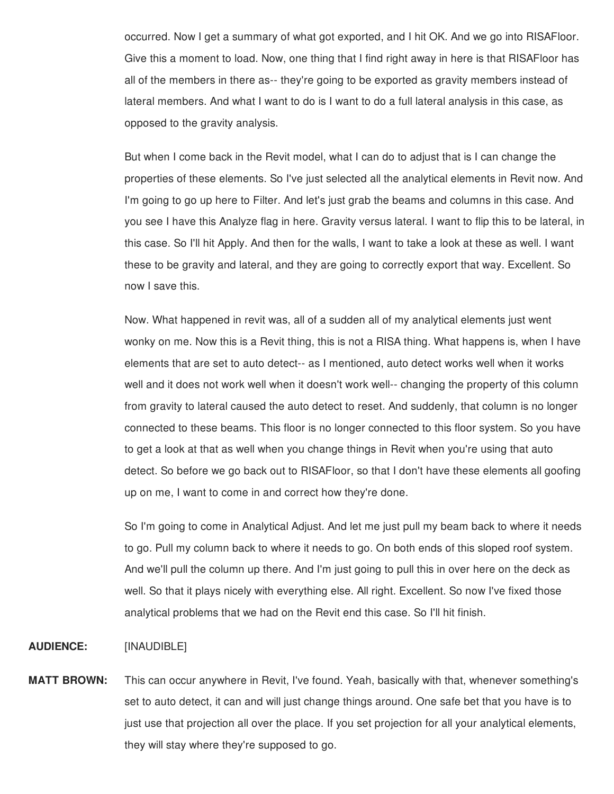occurred. Now I get a summary of what got exported, and I hit OK. And we go into RISAFloor. Give this a moment to load. Now, one thing that I find right away in here is that RISAFloor has all of the members in there as-- they're going to be exported as gravity members instead of lateral members. And what I want to do is I want to do a full lateral analysis in this case, as opposed to the gravity analysis.

But when I come back in the Revit model, what I can do to adjust that is I can change the properties of these elements. So I've just selected all the analytical elements in Revit now. And I'm going to go up here to Filter. And let's just grab the beams and columns in this case. And you see I have this Analyze flag in here. Gravity versus lateral. I want to flip this to be lateral, in this case. So I'll hit Apply. And then for the walls, I want to take a look at these as well. I want these to be gravity and lateral, and they are going to correctly export that way. Excellent. So now I save this.

Now. What happened in revit was, all of a sudden all of my analytical elements just went wonky on me. Now this is a Revit thing, this is not a RISA thing. What happens is, when I have elements that are set to auto detect-- as I mentioned, auto detect works well when it works well and it does not work well when it doesn't work well-- changing the property of this column from gravity to lateral caused the auto detect to reset. And suddenly, that column is no longer connected to these beams. This floor is no longer connected to this floor system. So you have to get a look at that as well when you change things in Revit when you're using that auto detect. So before we go back out to RISAFloor, so that I don't have these elements all goofing up on me, I want to come in and correct how they're done.

So I'm going to come in Analytical Adjust. And let me just pull my beam back to where it needs to go. Pull my column back to where it needs to go. On both ends of this sloped roof system. And we'll pull the column up there. And I'm just going to pull this in over here on the deck as well. So that it plays nicely with everything else. All right. Excellent. So now I've fixed those analytical problems that we had on the Revit end this case. So I'll hit finish.

### **AUDIENCE:** [INAUDIBLE]

**MATT BROWN:** This can occur anywhere in Revit, I've found. Yeah, basically with that, whenever something's set to auto detect, it can and will just change things around. One safe bet that you have is to just use that projection all over the place. If you set projection for all your analytical elements, they will stay where they're supposed to go.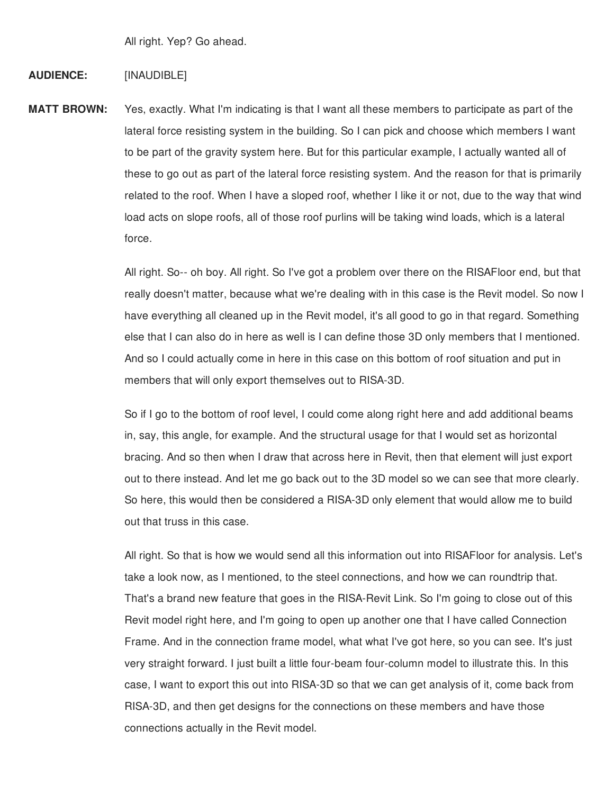All right. Yep? Go ahead.

### **AUDIENCE:** [INAUDIBLE]

**MATT BROWN:** Yes, exactly. What I'm indicating is that I want all these members to participate as part of the lateral force resisting system in the building. So I can pick and choose which members I want to be part of the gravity system here. But for this particular example, I actually wanted all of these to go out as part of the lateral force resisting system. And the reason for that is primarily related to the roof. When I have a sloped roof, whether I like it or not, due to the way that wind load acts on slope roofs, all of those roof purlins will be taking wind loads, which is a lateral force.

> All right. So-- oh boy. All right. So I've got a problem over there on the RISAFloor end, but that really doesn't matter, because what we're dealing with in this case is the Revit model. So now I have everything all cleaned up in the Revit model, it's all good to go in that regard. Something else that I can also do in here as well is I can define those 3D only members that I mentioned. And so I could actually come in here in this case on this bottom of roof situation and put in members that will only export themselves out to RISA-3D.

So if I go to the bottom of roof level, I could come along right here and add additional beams in, say, this angle, for example. And the structural usage for that I would set as horizontal bracing. And so then when I draw that across here in Revit, then that element will just export out to there instead. And let me go back out to the 3D model so we can see that more clearly. So here, this would then be considered a RISA-3D only element that would allow me to build out that truss in this case.

All right. So that is how we would send all this information out into RISAFloor for analysis. Let's take a look now, as I mentioned, to the steel connections, and how we can roundtrip that. That's a brand new feature that goes in the RISA-Revit Link. So I'm going to close out of this Revit model right here, and I'm going to open up another one that I have called Connection Frame. And in the connection frame model, what what I've got here, so you can see. It's just very straight forward. I just built a little four-beam four-column model to illustrate this. In this case, I want to export this out into RISA-3D so that we can get analysis of it, come back from RISA-3D, and then get designs for the connections on these members and have those connections actually in the Revit model.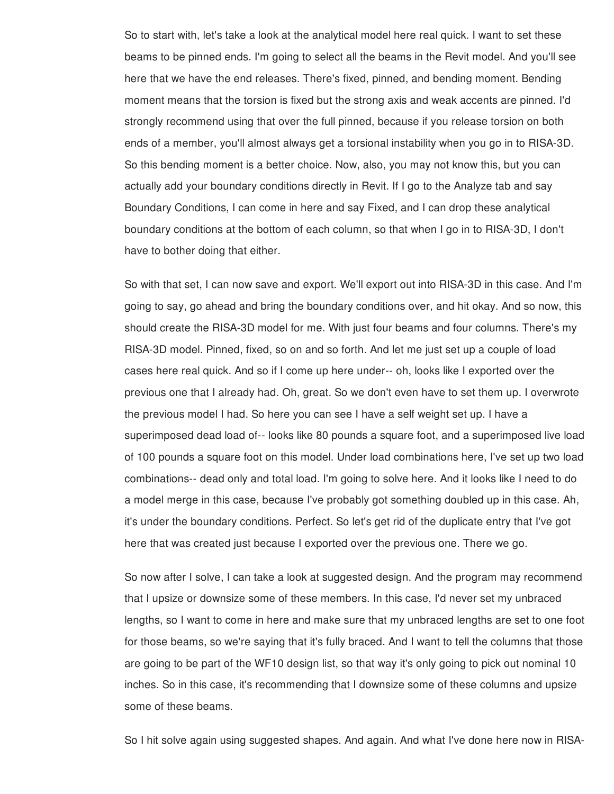So to start with, let's take a look at the analytical model here real quick. I want to set these beams to be pinned ends. I'm going to select all the beams in the Revit model. And you'll see here that we have the end releases. There's fixed, pinned, and bending moment. Bending moment means that the torsion is fixed but the strong axis and weak accents are pinned. I'd strongly recommend using that over the full pinned, because if you release torsion on both ends of a member, you'll almost always get a torsional instability when you go in to RISA-3D. So this bending moment is a better choice. Now, also, you may not know this, but you can actually add your boundary conditions directly in Revit. If I go to the Analyze tab and say Boundary Conditions, I can come in here and say Fixed, and I can drop these analytical boundary conditions at the bottom of each column, so that when I go in to RISA-3D, I don't have to bother doing that either.

So with that set, I can now save and export. We'll export out into RISA-3D in this case. And I'm going to say, go ahead and bring the boundary conditions over, and hit okay. And so now, this should create the RISA-3D model for me. With just four beams and four columns. There's my RISA-3D model. Pinned, fixed, so on and so forth. And let me just set up a couple of load cases here real quick. And so if I come up here under-- oh, looks like I exported over the previous one that I already had. Oh, great. So we don't even have to set them up. I overwrote the previous model I had. So here you can see I have a self weight set up. I have a superimposed dead load of-- looks like 80 pounds a square foot, and a superimposed live load of 100 pounds a square foot on this model. Under load combinations here, I've set up two load combinations-- dead only and total load. I'm going to solve here. And it looks like I need to do a model merge in this case, because I've probably got something doubled up in this case. Ah, it's under the boundary conditions. Perfect. So let's get rid of the duplicate entry that I've got here that was created just because I exported over the previous one. There we go.

So now after I solve, I can take a look at suggested design. And the program may recommend that I upsize or downsize some of these members. In this case, I'd never set my unbraced lengths, so I want to come in here and make sure that my unbraced lengths are set to one foot for those beams, so we're saying that it's fully braced. And I want to tell the columns that those are going to be part of the WF10 design list, so that way it's only going to pick out nominal 10 inches. So in this case, it's recommending that I downsize some of these columns and upsize some of these beams.

So I hit solve again using suggested shapes. And again. And what I've done here now in RISA-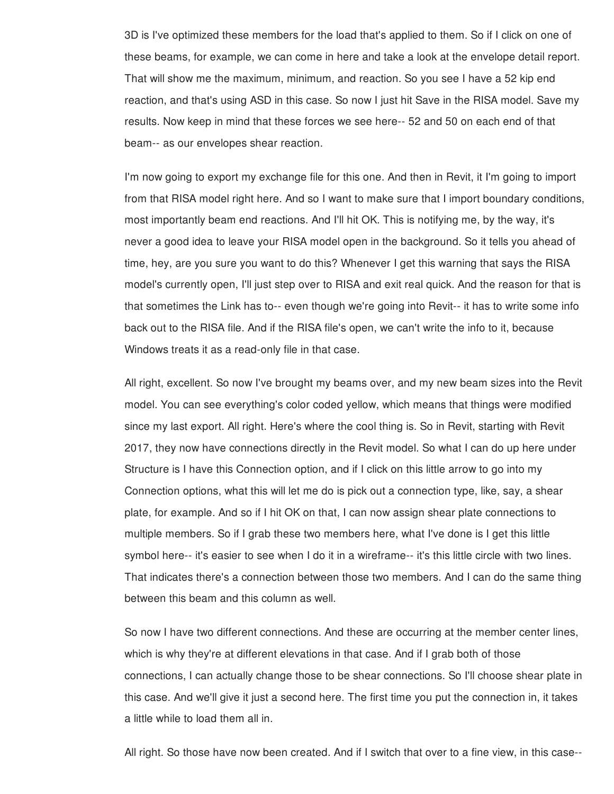3D is I've optimized these members for the load that's applied to them. So if I click on one of these beams, for example, we can come in here and take a look at the envelope detail report. That will show me the maximum, minimum, and reaction. So you see I have a 52 kip end reaction, and that's using ASD in this case. So now I just hit Save in the RISA model. Save my results. Now keep in mind that these forces we see here-- 52 and 50 on each end of that beam-- as our envelopes shear reaction.

I'm now going to export my exchange file for this one. And then in Revit, it I'm going to import from that RISA model right here. And so I want to make sure that I import boundary conditions, most importantly beam end reactions. And I'll hit OK. This is notifying me, by the way, it's never a good idea to leave your RISA model open in the background. So it tells you ahead of time, hey, are you sure you want to do this? Whenever I get this warning that says the RISA model's currently open, I'll just step over to RISA and exit real quick. And the reason for that is that sometimes the Link has to-- even though we're going into Revit-- it has to write some info back out to the RISA file. And if the RISA file's open, we can't write the info to it, because Windows treats it as a read-only file in that case.

All right, excellent. So now I've brought my beams over, and my new beam sizes into the Revit model. You can see everything's color coded yellow, which means that things were modified since my last export. All right. Here's where the cool thing is. So in Revit, starting with Revit 2017, they now have connections directly in the Revit model. So what I can do up here under Structure is I have this Connection option, and if I click on this little arrow to go into my Connection options, what this will let me do is pick out a connection type, like, say, a shear plate, for example. And so if I hit OK on that, I can now assign shear plate connections to multiple members. So if I grab these two members here, what I've done is I get this little symbol here-- it's easier to see when I do it in a wireframe-- it's this little circle with two lines. That indicates there's a connection between those two members. And I can do the same thing between this beam and this column as well.

So now I have two different connections. And these are occurring at the member center lines, which is why they're at different elevations in that case. And if I grab both of those connections, I can actually change those to be shear connections. So I'll choose shear plate in this case. And we'll give it just a second here. The first time you put the connection in, it takes a little while to load them all in.

All right. So those have now been created. And if I switch that over to a fine view, in this case--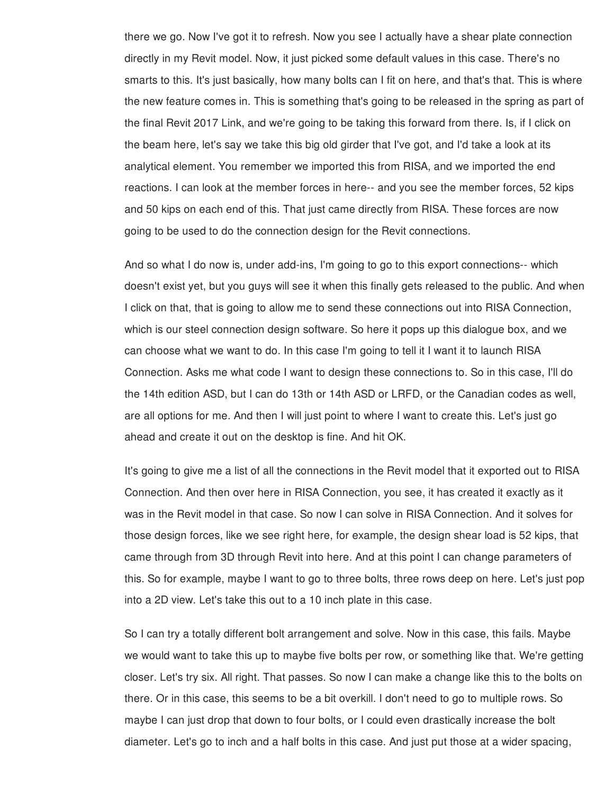there we go. Now I've got it to refresh. Now you see I actually have a shear plate connection directly in my Revit model. Now, it just picked some default values in this case. There's no smarts to this. It's just basically, how many bolts can I fit on here, and that's that. This is where the new feature comes in. This is something that's going to be released in the spring as part of the final Revit 2017 Link, and we're going to be taking this forward from there. Is, if I click on the beam here, let's say we take this big old girder that I've got, and I'd take a look at its analytical element. You remember we imported this from RISA, and we imported the end reactions. I can look at the member forces in here-- and you see the member forces, 52 kips and 50 kips on each end of this. That just came directly from RISA. These forces are now going to be used to do the connection design for the Revit connections.

And so what I do now is, under add-ins, I'm going to go to this export connections-- which doesn't exist yet, but you guys will see it when this finally gets released to the public. And when I click on that, that is going to allow me to send these connections out into RISA Connection, which is our steel connection design software. So here it pops up this dialogue box, and we can choose what we want to do. In this case I'm going to tell it I want it to launch RISA Connection. Asks me what code I want to design these connections to. So in this case, I'll do the 14th edition ASD, but I can do 13th or 14th ASD or LRFD, or the Canadian codes as well, are all options for me. And then I will just point to where I want to create this. Let's just go ahead and create it out on the desktop is fine. And hit OK.

It's going to give me a list of all the connections in the Revit model that it exported out to RISA Connection. And then over here in RISA Connection, you see, it has created it exactly as it was in the Revit model in that case. So now I can solve in RISA Connection. And it solves for those design forces, like we see right here, for example, the design shear load is 52 kips, that came through from 3D through Revit into here. And at this point I can change parameters of this. So for example, maybe I want to go to three bolts, three rows deep on here. Let's just pop into a 2D view. Let's take this out to a 10 inch plate in this case.

So I can try a totally different bolt arrangement and solve. Now in this case, this fails. Maybe we would want to take this up to maybe five bolts per row, or something like that. We're getting closer. Let's try six. All right. That passes. So now I can make a change like this to the bolts on there. Or in this case, this seems to be a bit overkill. I don't need to go to multiple rows. So maybe I can just drop that down to four bolts, or I could even drastically increase the bolt diameter. Let's go to inch and a half bolts in this case. And just put those at a wider spacing,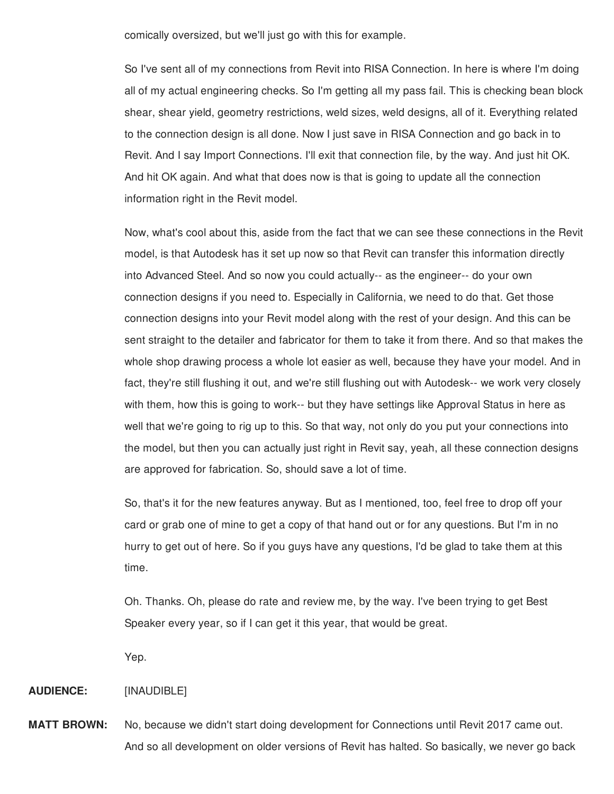comically oversized, but we'll just go with this for example.

So I've sent all of my connections from Revit into RISA Connection. In here is where I'm doing all of my actual engineering checks. So I'm getting all my pass fail. This is checking bean block shear, shear yield, geometry restrictions, weld sizes, weld designs, all of it. Everything related to the connection design is all done. Now I just save in RISA Connection and go back in to Revit. And I say Import Connections. I'll exit that connection file, by the way. And just hit OK. And hit OK again. And what that does now is that is going to update all the connection information right in the Revit model.

Now, what's cool about this, aside from the fact that we can see these connections in the Revit model, is that Autodesk has it set up now so that Revit can transfer this information directly into Advanced Steel. And so now you could actually-- as the engineer-- do your own connection designs if you need to. Especially in California, we need to do that. Get those connection designs into your Revit model along with the rest of your design. And this can be sent straight to the detailer and fabricator for them to take it from there. And so that makes the whole shop drawing process a whole lot easier as well, because they have your model. And in fact, they're still flushing it out, and we're still flushing out with Autodesk-- we work very closely with them, how this is going to work-- but they have settings like Approval Status in here as well that we're going to rig up to this. So that way, not only do you put your connections into the model, but then you can actually just right in Revit say, yeah, all these connection designs are approved for fabrication. So, should save a lot of time.

So, that's it for the new features anyway. But as I mentioned, too, feel free to drop off your card or grab one of mine to get a copy of that hand out or for any questions. But I'm in no hurry to get out of here. So if you guys have any questions, I'd be glad to take them at this time.

Oh. Thanks. Oh, please do rate and review me, by the way. I've been trying to get Best Speaker every year, so if I can get it this year, that would be great.

Yep.

#### **AUDIENCE:** [INAUDIBLE]

**MATT BROWN:** No, because we didn't start doing development for Connections until Revit 2017 came out. And so all development on older versions of Revit has halted. So basically, we never go back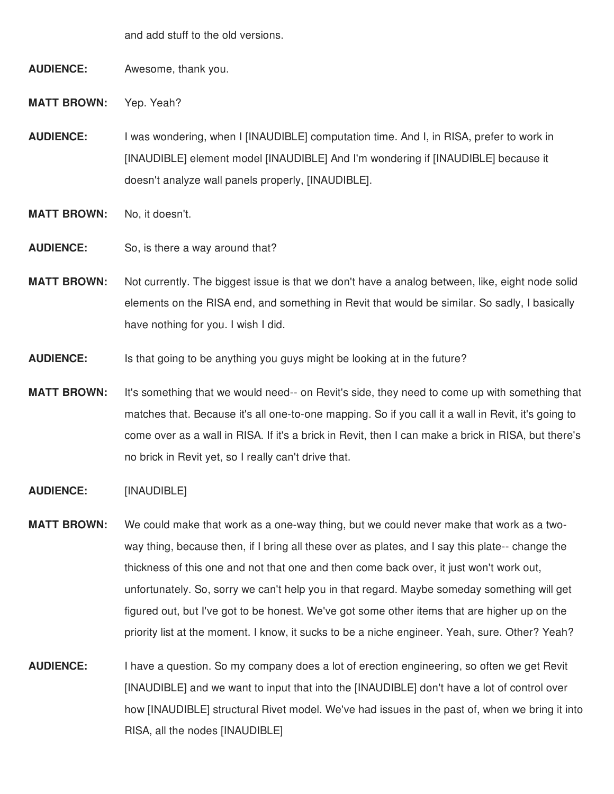and add stuff to the old versions.

**AUDIENCE:** Awesome, thank you.

**MATT BROWN:** Yep. Yeah?

**AUDIENCE:** I was wondering, when I [INAUDIBLE] computation time. And I, in RISA, prefer to work in [INAUDIBLE] element model [INAUDIBLE] And I'm wondering if [INAUDIBLE] because it doesn't analyze wall panels properly, [INAUDIBLE].

- **MATT BROWN:** No, it doesn't.
- **AUDIENCE:** So, is there a way around that?
- **MATT BROWN:** Not currently. The biggest issue is that we don't have a analog between, like, eight node solid elements on the RISA end, and something in Revit that would be similar. So sadly, I basically have nothing for you. I wish I did.
- **AUDIENCE:** Is that going to be anything you guys might be looking at in the future?
- **MATT BROWN:** It's something that we would need-- on Revit's side, they need to come up with something that matches that. Because it's all one-to-one mapping. So if you call it a wall in Revit, it's going to come over as a wall in RISA. If it's a brick in Revit, then I can make a brick in RISA, but there's no brick in Revit yet, so I really can't drive that.
- **AUDIENCE:** [INAUDIBLE]
- **MATT BROWN:** We could make that work as a one-way thing, but we could never make that work as a twoway thing, because then, if I bring all these over as plates, and I say this plate-- change the thickness of this one and not that one and then come back over, it just won't work out, unfortunately. So, sorry we can't help you in that regard. Maybe someday something will get figured out, but I've got to be honest. We've got some other items that are higher up on the priority list at the moment. I know, it sucks to be a niche engineer. Yeah, sure. Other? Yeah?
- **AUDIENCE:** I have a question. So my company does a lot of erection engineering, so often we get Revit [INAUDIBLE] and we want to input that into the [INAUDIBLE] don't have a lot of control over how [INAUDIBLE] structural Rivet model. We've had issues in the past of, when we bring it into RISA, all the nodes [INAUDIBLE]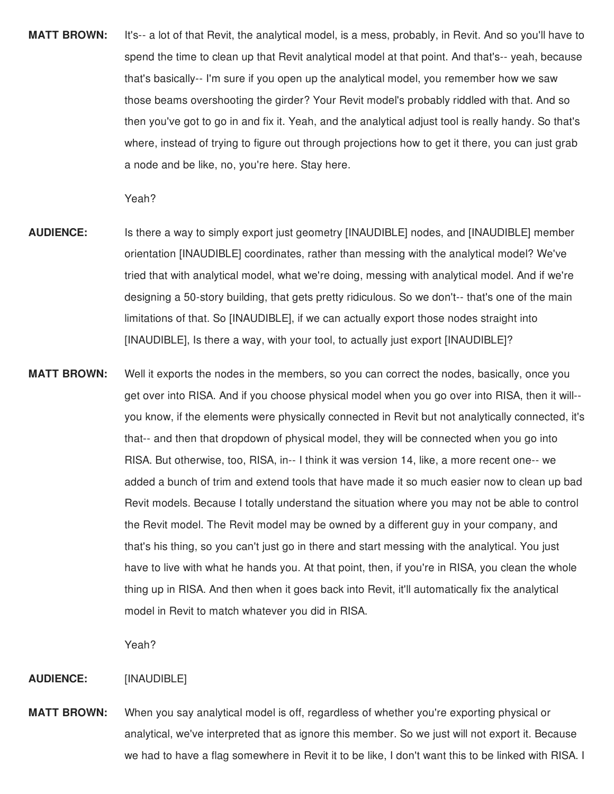**MATT BROWN:** It's-- a lot of that Revit, the analytical model, is a mess, probably, in Revit. And so you'll have to spend the time to clean up that Revit analytical model at that point. And that's-- yeah, because that's basically-- I'm sure if you open up the analytical model, you remember how we saw those beams overshooting the girder? Your Revit model's probably riddled with that. And so then you've got to go in and fix it. Yeah, and the analytical adjust tool is really handy. So that's where, instead of trying to figure out through projections how to get it there, you can just grab a node and be like, no, you're here. Stay here.

Yeah?

- **AUDIENCE:** Is there a way to simply export just geometry [INAUDIBLE] nodes, and [INAUDIBLE] member orientation [INAUDIBLE] coordinates, rather than messing with the analytical model? We've tried that with analytical model, what we're doing, messing with analytical model. And if we're designing a 50-story building, that gets pretty ridiculous. So we don't-- that's one of the main limitations of that. So [INAUDIBLE], if we can actually export those nodes straight into [INAUDIBLE], Is there a way, with your tool, to actually just export [INAUDIBLE]?
- **MATT BROWN:** Well it exports the nodes in the members, so you can correct the nodes, basically, once you get over into RISA. And if you choose physical model when you go over into RISA, then it will- you know, if the elements were physically connected in Revit but not analytically connected, it's that-- and then that dropdown of physical model, they will be connected when you go into RISA. But otherwise, too, RISA, in-- I think it was version 14, like, a more recent one-- we added a bunch of trim and extend tools that have made it so much easier now to clean up bad Revit models. Because I totally understand the situation where you may not be able to control the Revit model. The Revit model may be owned by a different guy in your company, and that's his thing, so you can't just go in there and start messing with the analytical. You just have to live with what he hands you. At that point, then, if you're in RISA, you clean the whole thing up in RISA. And then when it goes back into Revit, it'll automatically fix the analytical model in Revit to match whatever you did in RISA.

Yeah?

# **AUDIENCE:** [INAUDIBLE]

**MATT BROWN:** When you say analytical model is off, regardless of whether you're exporting physical or analytical, we've interpreted that as ignore this member. So we just will not export it. Because we had to have a flag somewhere in Revit it to be like, I don't want this to be linked with RISA. I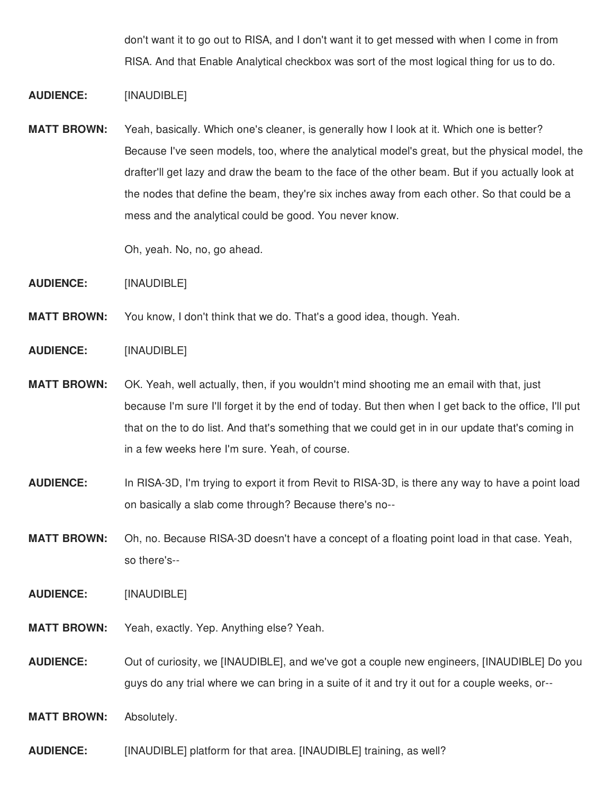don't want it to go out to RISA, and I don't want it to get messed with when I come in from RISA. And that Enable Analytical checkbox was sort of the most logical thing for us to do.

- **AUDIENCE:** [INAUDIBLE]
- **MATT BROWN:** Yeah, basically. Which one's cleaner, is generally how I look at it. Which one is better? Because I've seen models, too, where the analytical model's great, but the physical model, the drafter'll get lazy and draw the beam to the face of the other beam. But if you actually look at the nodes that define the beam, they're six inches away from each other. So that could be a mess and the analytical could be good. You never know.

Oh, yeah. No, no, go ahead.

- **AUDIENCE:** [INAUDIBLE]
- **MATT BROWN:** You know, I don't think that we do. That's a good idea, though. Yeah.
- **AUDIENCE:** [INAUDIBLE]
- **MATT BROWN:** OK. Yeah, well actually, then, if you wouldn't mind shooting me an email with that, just because I'm sure I'll forget it by the end of today. But then when I get back to the office, I'll put that on the to do list. And that's something that we could get in in our update that's coming in in a few weeks here I'm sure. Yeah, of course.
- **AUDIENCE:** In RISA-3D, I'm trying to export it from Revit to RISA-3D, is there any way to have a point load on basically a slab come through? Because there's no--
- **MATT BROWN:** Oh, no. Because RISA-3D doesn't have a concept of a floating point load in that case. Yeah, so there's--
- **AUDIENCE:** [INAUDIBLE]
- **MATT BROWN:** Yeah, exactly. Yep. Anything else? Yeah.
- **AUDIENCE:** Out of curiosity, we [INAUDIBLE], and we've got a couple new engineers, [INAUDIBLE] Do you guys do any trial where we can bring in a suite of it and try it out for a couple weeks, or--
- **MATT BROWN:** Absolutely.
- **AUDIENCE:** [INAUDIBLE] platform for that area. [INAUDIBLE] training, as well?